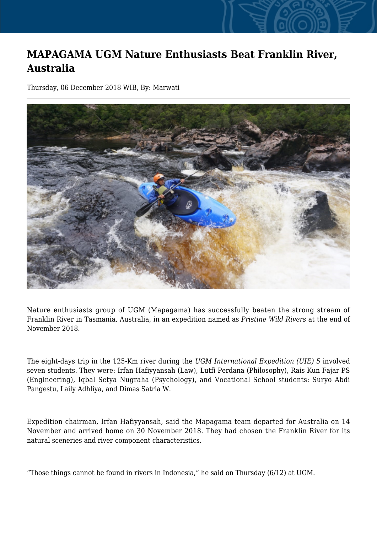## **MAPAGAMA UGM Nature Enthusiasts Beat Franklin River, Australia**

Thursday, 06 December 2018 WIB, By: Marwati



Nature enthusiasts group of UGM (Mapagama) has successfully beaten the strong stream of Franklin River in Tasmania, Australia, in an expedition named as *Pristine Wild Rivers* at the end of November 2018.

The eight-days trip in the 125-Km river during the *UGM International Expedition (UIE) 5* involved seven students. They were: Irfan Hafiyyansah (Law), Lutfi Perdana (Philosophy), Rais Kun Fajar PS (Engineering), Iqbal Setya Nugraha (Psychology), and Vocational School students: Suryo Abdi Pangestu, Laily Adhliya, and Dimas Satria W.

Expedition chairman, Irfan Hafiyyansah, said the Mapagama team departed for Australia on 14 November and arrived home on 30 November 2018. They had chosen the Franklin River for its natural sceneries and river component characteristics.

"Those things cannot be found in rivers in Indonesia," he said on Thursday (6/12) at UGM.